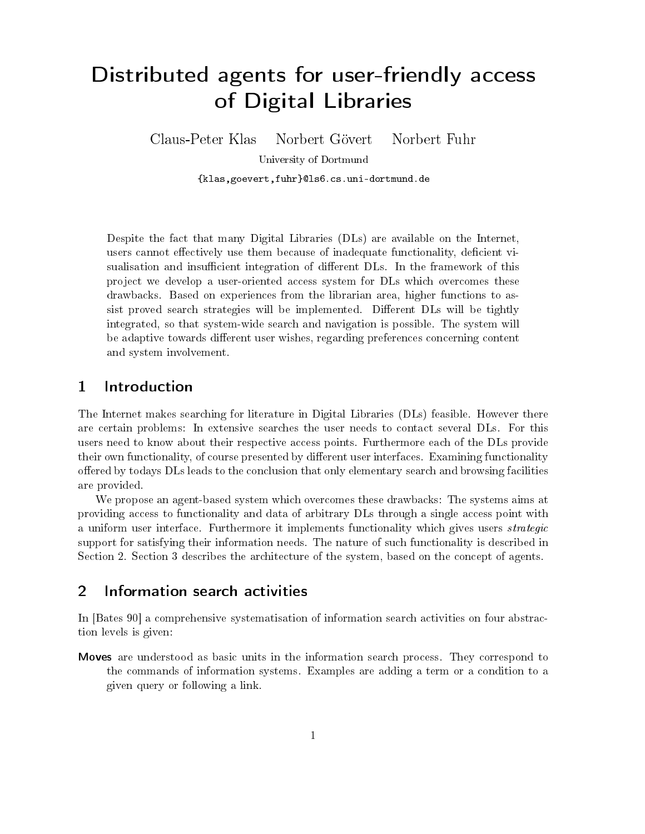# Distributed agents for user-friendly access of Digital Libraries and Digital Libraries and Digital Libraries and Digital Libraries and Digital Libraries and Digital Libraries and Digital Libraries and Digital Libraries and Digital Libraries and Digital Libraries and

Claus-Peter Klas Norbert Gövert Norbert Fuhr University of Dortmund {klas,goevert,fuhr}@ls6.cs.uni-dortmund.de

Despite the fact that many Digital Libraries (DLs) are available on the Internet, users cannot effectively use them because of inadequate functionality, deficient visualisation and insufficient integration of different DLs. In the framework of this pro ject we develop a user-oriented access system for DLs which overcomes these drawbacks. Based on experiences from the librarian area, higher functions to assist proved search strategies will be implemented. Different DLs will be tightly integrated, so that system-wide search and navigation is possible. The system will be adaptive towards different user wishes, regarding preferences concerning content and system involvement.

#### $\mathbf 1$ **Introduction**

The Internet makes searching for literature in Digital Libraries (DLs) feasible. However there are certain problems: In extensive searches the user needs to contact several DLs. For this users need to know about their respective access points. Furthermore each of the DLs provide their own functionality, of course presented by different user interfaces. Examining functionality offered by todays DLs leads to the conclusion that only elementary search and browsing facilities are provided.

We propose an agent-based system which overcomes these drawbacks: The systems aims at providing access to functionality and data of arbitrary DLs through a single access point with a uniform user interface. Furthermore it implements functionality which gives users *strategic* support for satisfying their information needs. The nature of such functionality is described in Section 2. Section 3 describes the architecture of the system, based on the concept of agents.

# 2 Information search activities

In [Bates 90] a comprehensive systematisation of information search activities on four abstraction levels is given:

Moves are understood as basic units in the information search process. They correspond to the commands of information systems. Examples are adding a term or a condition to a given query or following a link.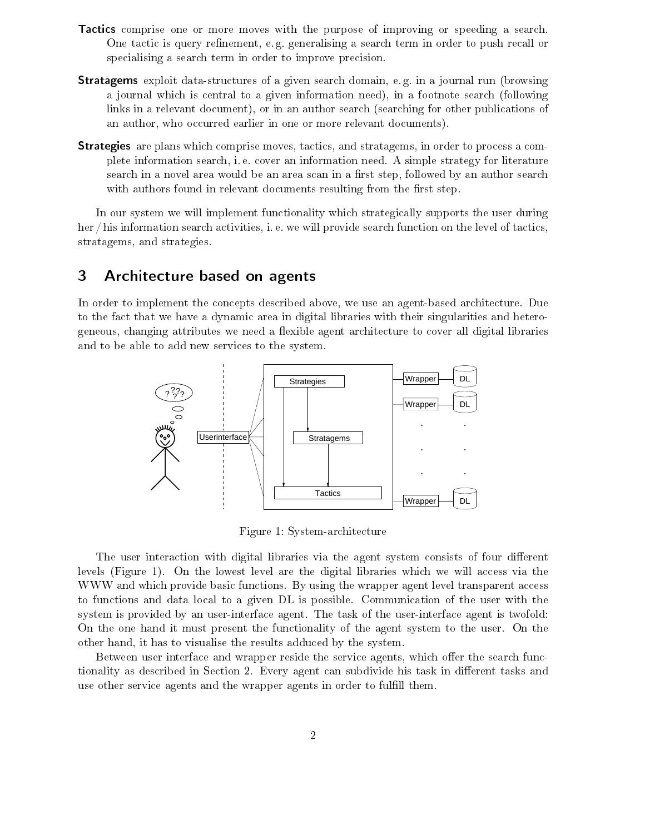- Tactics comprise one or more moves with the purpose of improving or speeding a search. One tactic is query refinement, e.g. generalising a search term in order to push recall or specialising a search term in order to improve precision.
- Stratagems exploit data-structures of a given search domain, e. g. in a journal run (browsing a journal which iscentral to a given information need), in a footnote search (following links in a relevant document), or in an author search (searching for other publications of an author, who occurred earlier in one or more relevant documents).
- Strategies are plans which comprise moves, tactics, and stratagems, in order to process a complete information search, i. e. cover an information need. A simple strategy for literature search in a novel area would be an area scan in a first step, followed by an author search with authors found in relevant documents resulting from the first step.

In our system we will implement functionality which strategically supports the user during her / his information search activities, i. e. we will provide search function on the level of tactics, stratagems, and strategies.

## 3 Architecture based on agents

In order to implement the concepts described above, we use an agent-based architecture. Due to the fact that we have a dynamic area in digital libraries with their singularities and heterogeneous, changing attributes we need a flexible agent architecture to cover all digital libraries and to be able to add new services to the system.



Figure 1: System-architecture

The user interaction with digital libraries via the agent system consists of four different levels (Figure 1). On the lowest level are the digital libraries which we will access via the WWW and which provide basic functions. By using the wrapper agent level transparent access to functions and data local to a given DL is possible. Communication of the user with the system is provided by an user-interface agent. The task of the user-interface agent is twofold: On the one hand it must present the functionality of the agent system to the user. On the other hand, it has to visualise the results adduced by the system.

Between user interface and wrapper reside the service agents, which offer the search functionality as described in Section 2. Every agent can subdivide his task in different tasks and use other service agents and the wrapper agents in order to fulfill them.